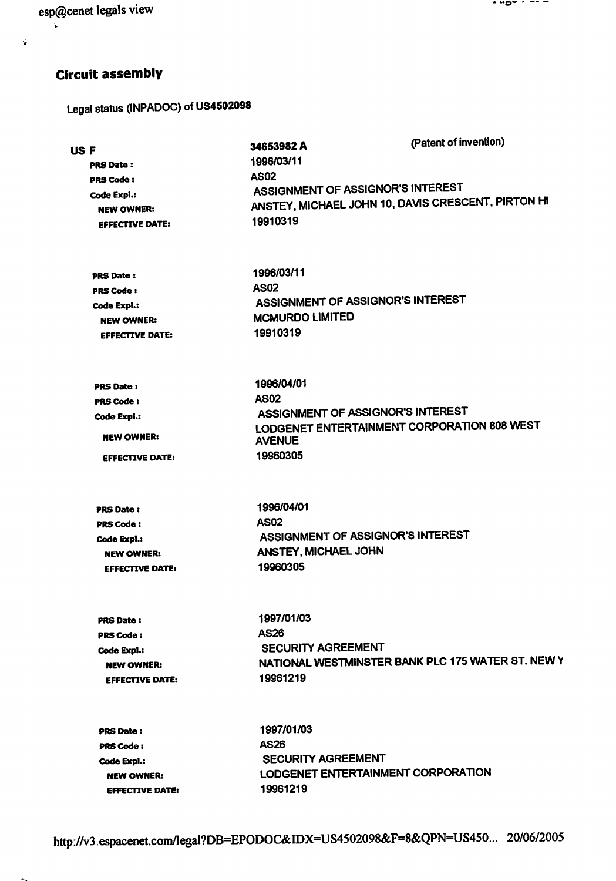esp@cenet legals view

 $\hat{\mathbf{q}}$ 

## Circuit assembly

Legal status (INPADOC) of US4502098

| 34653982 A<br><b>USF</b><br>1996/03/11<br><b>PRS Date:</b><br><b>AS02</b><br><b>PRS Code:</b><br>ASSIGNMENT OF ASSIGNOR'S INTEREST<br>Code Expl.:<br>ANSTEY, MICHAEL JOHN 10, DAVIS CRESCENT, PIRTON HI<br><b>NEW OWNER:</b><br>19910319<br><b>EFFECTIVE DATE:</b><br>1996/03/11<br><b>PRS Date:</b><br><b>AS02</b><br>PRS Code:<br>ASSIGNMENT OF ASSIGNOR'S INTEREST<br>Code Expl.: |                                                                                                                                            | (Patent of invention) |
|--------------------------------------------------------------------------------------------------------------------------------------------------------------------------------------------------------------------------------------------------------------------------------------------------------------------------------------------------------------------------------------|--------------------------------------------------------------------------------------------------------------------------------------------|-----------------------|
|                                                                                                                                                                                                                                                                                                                                                                                      |                                                                                                                                            |                       |
| <b>NEW OWNER:</b>                                                                                                                                                                                                                                                                                                                                                                    | <b>MCMURDO LIMITED</b>                                                                                                                     |                       |
| <b>EFFECTIVE DATE:</b>                                                                                                                                                                                                                                                                                                                                                               | 19910319                                                                                                                                   |                       |
| <b>PRS Date:</b><br><b>PRS Code:</b><br>Code Expl.:<br><b>NEW OWNER:</b><br><b>EFFECTIVE DATE:</b>                                                                                                                                                                                                                                                                                   | 1996/04/01<br><b>AS02</b><br>ASSIGNMENT OF ASSIGNOR'S INTEREST<br>LODGENET ENTERTAINMENT CORPORATION 808 WEST<br><b>AVENUE</b><br>19960305 |                       |
| <b>PRS Date:</b>                                                                                                                                                                                                                                                                                                                                                                     | 1996/04/01                                                                                                                                 |                       |
| <b>PRS Code:</b>                                                                                                                                                                                                                                                                                                                                                                     | <b>AS02</b>                                                                                                                                |                       |
| Code Expl.:                                                                                                                                                                                                                                                                                                                                                                          | ASSIGNMENT OF ASSIGNOR'S INTEREST                                                                                                          |                       |
| <b>NEW OWNER:</b>                                                                                                                                                                                                                                                                                                                                                                    | ANSTEY, MICHAEL JOHN                                                                                                                       |                       |
| <b>EFFECTIVE DATE:</b>                                                                                                                                                                                                                                                                                                                                                               | 19960305                                                                                                                                   |                       |
| <b>PRS Date:</b>                                                                                                                                                                                                                                                                                                                                                                     | 1997/01/03                                                                                                                                 |                       |
| <b>PRS Code:</b>                                                                                                                                                                                                                                                                                                                                                                     | <b>AS26</b>                                                                                                                                |                       |
| Code Expl.:                                                                                                                                                                                                                                                                                                                                                                          | SECURITY AGREEMENT                                                                                                                         |                       |
| <b>NEW OWNER:</b>                                                                                                                                                                                                                                                                                                                                                                    | NATIONAL WESTMINSTER BANK PLC 175 WATER ST. NEW Y                                                                                          |                       |
| <b>EFFECTIVE DATE:</b>                                                                                                                                                                                                                                                                                                                                                               | 19961219                                                                                                                                   |                       |
| <b>PRS Date:</b>                                                                                                                                                                                                                                                                                                                                                                     | 1997/01/03                                                                                                                                 |                       |
| <b>PRS Code:</b>                                                                                                                                                                                                                                                                                                                                                                     | <b>AS26</b>                                                                                                                                |                       |
| Code Expl.:                                                                                                                                                                                                                                                                                                                                                                          | <b>SECURITY AGREEMENT</b>                                                                                                                  |                       |
| <b>NEW OWNER:</b>                                                                                                                                                                                                                                                                                                                                                                    | LODGENET ENTERTAINMENT CORPORATION                                                                                                         |                       |
| <b>EFFECTIVE DATE:</b>                                                                                                                                                                                                                                                                                                                                                               | 19961219                                                                                                                                   |                       |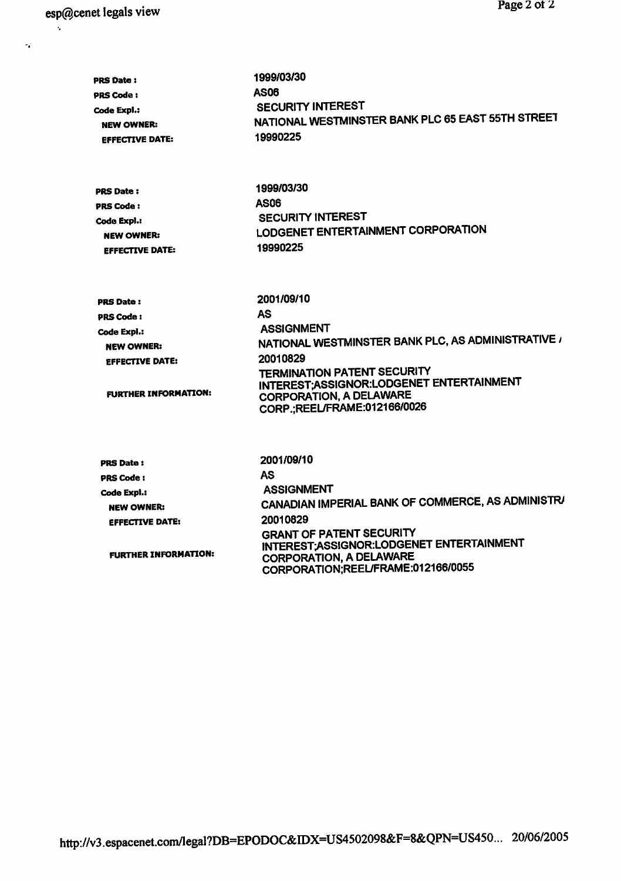$\hat{\mathbf{z}}$ 

 $\sigma_{\rm d}^{\rm eff}$ 

| <b>PRS Date:</b><br><b>PRS Code:</b><br>Code Expl.:<br><b>NEW OWNER:</b><br><b>EFFECTIVE DATE:</b> | 1999/03/30<br>AS06<br><b>SECURITY INTEREST</b><br>NATIONAL WESTMINSTER BANK PLC 65 EAST 55TH STREET<br>19990225                                       |  |
|----------------------------------------------------------------------------------------------------|-------------------------------------------------------------------------------------------------------------------------------------------------------|--|
| <b>PRS Date:</b><br><b>PRS Code:</b>                                                               | 1999/03/30<br><b>AS06</b><br><b>SECURITY INTEREST</b>                                                                                                 |  |
| Code Expl.:<br><b>NEW OWNER:</b><br><b>EFFECTIVE DATE:</b>                                         | LODGENET ENTERTAINMENT CORPORATION<br>19990225                                                                                                        |  |
| <b>PRS Date:</b>                                                                                   | 2001/09/10                                                                                                                                            |  |
| <b>PRS Code:</b>                                                                                   | AS                                                                                                                                                    |  |
| Code Expl.:                                                                                        | <b>ASSIGNMENT</b>                                                                                                                                     |  |
| <b>NEW OWNER:</b>                                                                                  | NATIONAL WESTMINSTER BANK PLC, AS ADMINISTRATIVE /                                                                                                    |  |
| <b>EFFECTIVE DATE:</b>                                                                             | 20010829                                                                                                                                              |  |
| <b>FURTHER INFORMATION:</b>                                                                        | <b>TERMINATION PATENT SECURITY</b><br>INTEREST;ASSIGNOR:LODGENET ENTERTAINMENT<br><b>CORPORATION, A DELAWARE</b><br>CORP.;REEL/FRAME:012166/0026      |  |
| <b>PRS Date:</b>                                                                                   | 2001/09/10                                                                                                                                            |  |
| <b>PRS Code:</b>                                                                                   | AS                                                                                                                                                    |  |
| Code Expl.:                                                                                        | <b>ASSIGNMENT</b>                                                                                                                                     |  |
| <b>NEW OWNER:</b>                                                                                  | CANADIAN IMPERIAL BANK OF COMMERCE, AS ADMINISTRA                                                                                                     |  |
| <b>EFFECTIVE DATE:</b>                                                                             | 20010829                                                                                                                                              |  |
| <b>FURTHER INFORMATION:</b>                                                                        | <b>GRANT OF PATENT SECURITY</b><br>INTEREST: ASSIGNOR: LODGENET ENTERTAINMENT<br><b>CORPORATION, A DELAWARE</b><br>CORPORATION:REEL/FRAME:012166/0055 |  |